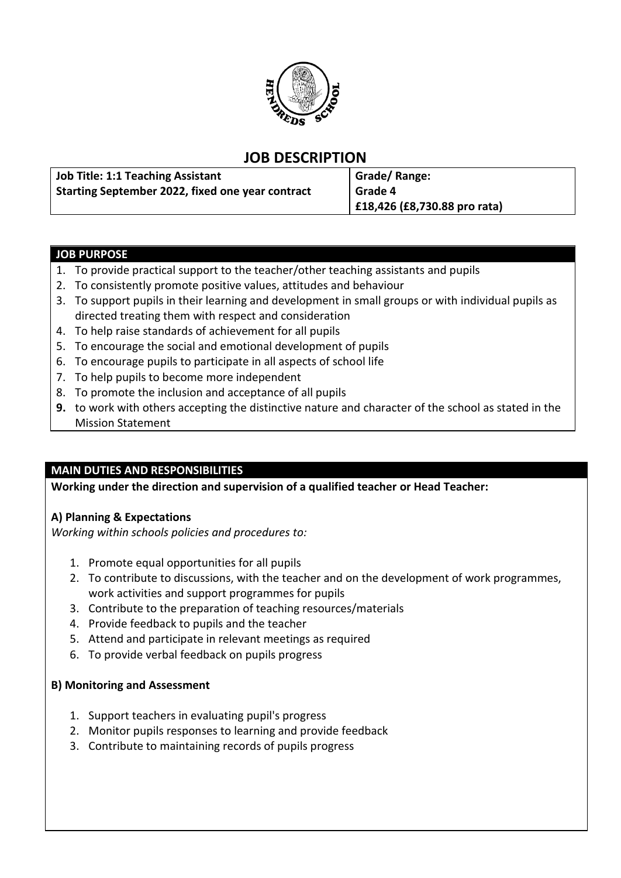

# **JOB DESCRIPTION**

| <b>Job Title: 1:1 Teaching Assistant</b>         | Grade/Range:                 |
|--------------------------------------------------|------------------------------|
| Starting September 2022, fixed one year contract | l Grade 4                    |
|                                                  | £18,426 (£8,730.88 pro rata) |

### **JOB PURPOSE**

- 1. To provide practical support to the teacher/other teaching assistants and pupils
- 2. To consistently promote positive values, attitudes and behaviour
- 3. To support pupils in their learning and development in small groups or with individual pupils as directed treating them with respect and consideration
- 4. To help raise standards of achievement for all pupils
- 5. To encourage the social and emotional development of pupils
- 6. To encourage pupils to participate in all aspects of school life
- 7. To help pupils to become more independent
- 8. To promote the inclusion and acceptance of all pupils
- **9.** to work with others accepting the distinctive nature and character of the school as stated in the Mission Statement

## **MAIN DUTIES AND RESPONSIBILITIES**

**Working under the direction and supervision of a qualified teacher or Head Teacher:**

## **A) Planning & Expectations**

*Working within schools policies and procedures to:*

- 1. Promote equal opportunities for all pupils
- 2. To contribute to discussions, with the teacher and on the development of work programmes, work activities and support programmes for pupils
- 3. Contribute to the preparation of teaching resources/materials
- 4. Provide feedback to pupils and the teacher
- 5. Attend and participate in relevant meetings as required
- 6. To provide verbal feedback on pupils progress

#### **B) Monitoring and Assessment**

- 1. Support teachers in evaluating pupil's progress
- 2. Monitor pupils responses to learning and provide feedback
- 3. Contribute to maintaining records of pupils progress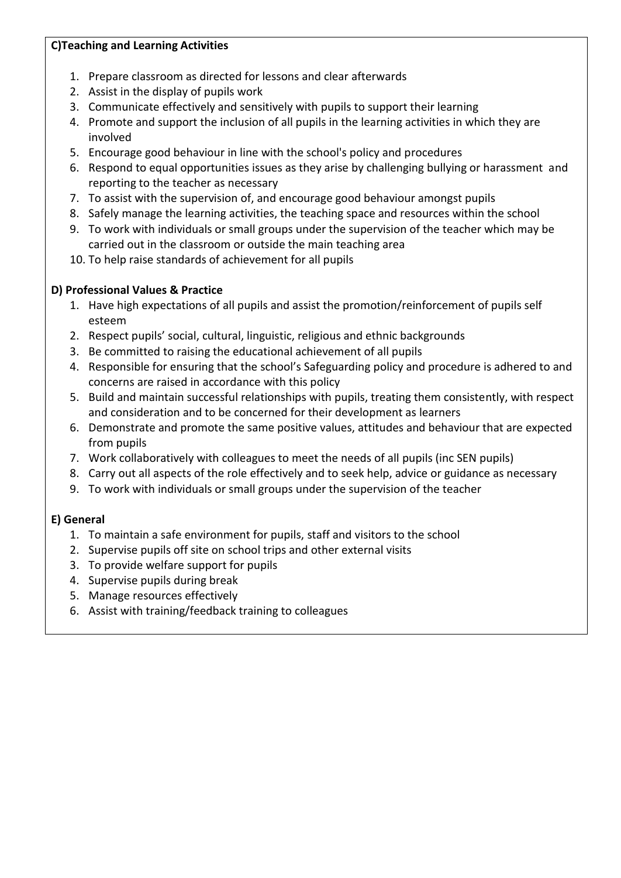## **C)Teaching and Learning Activities**

- 1. Prepare classroom as directed for lessons and clear afterwards
- 2. Assist in the display of pupils work
- 3. Communicate effectively and sensitively with pupils to support their learning
- 4. Promote and support the inclusion of all pupils in the learning activities in which they are involved
- 5. Encourage good behaviour in line with the school's policy and procedures
- 6. Respond to equal opportunities issues as they arise by challenging bullying or harassment and reporting to the teacher as necessary
- 7. To assist with the supervision of, and encourage good behaviour amongst pupils
- 8. Safely manage the learning activities, the teaching space and resources within the school
- 9. To work with individuals or small groups under the supervision of the teacher which may be carried out in the classroom or outside the main teaching area
- 10. To help raise standards of achievement for all pupils

# **D) Professional Values & Practice**

- 1. Have high expectations of all pupils and assist the promotion/reinforcement of pupils self esteem
- 2. Respect pupils' social, cultural, linguistic, religious and ethnic backgrounds
- 3. Be committed to raising the educational achievement of all pupils
- 4. Responsible for ensuring that the school's Safeguarding policy and procedure is adhered to and concerns are raised in accordance with this policy
- 5. Build and maintain successful relationships with pupils, treating them consistently, with respect and consideration and to be concerned for their development as learners
- 6. Demonstrate and promote the same positive values, attitudes and behaviour that are expected from pupils
- 7. Work collaboratively with colleagues to meet the needs of all pupils (inc SEN pupils)
- 8. Carry out all aspects of the role effectively and to seek help, advice or guidance as necessary
- 9. To work with individuals or small groups under the supervision of the teacher

# **E) General**

- 1. To maintain a safe environment for pupils, staff and visitors to the school
- 2. Supervise pupils off site on school trips and other external visits
- 3. To provide welfare support for pupils
- 4. Supervise pupils during break
- 5. Manage resources effectively
- 6. Assist with training/feedback training to colleagues